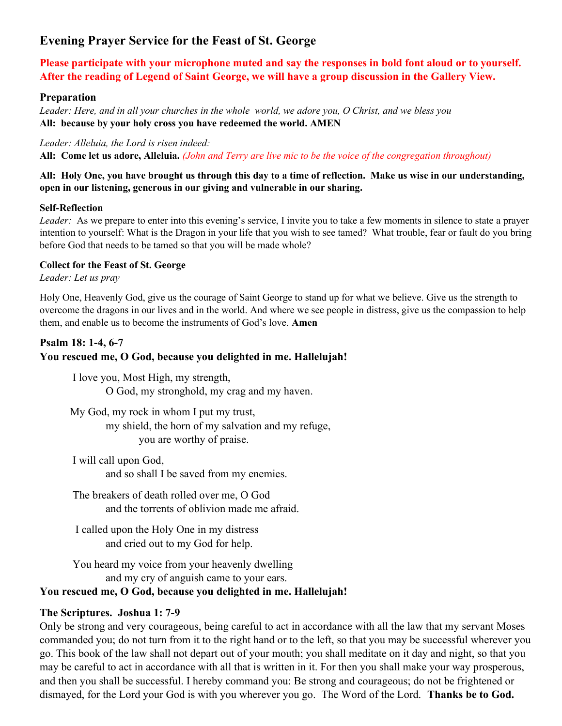# Evening Prayer Service for the Feast of St. George

Please participate with your microphone muted and say the responses in bold font aloud or to yourself. After the reading of Legend of Saint George, we will have a group discussion in the Gallery View.

### Preparation

Leader: Here, and in all your churches in the whole world, we adore you, O Christ, and we bless you All: because by your holy cross you have redeemed the world. AMEN

#### Leader: Alleluia, the Lord is risen indeed:

All: Come let us adore, Alleluia. (John and Terry are live mic to be the voice of the congregation throughout)

#### All: Holy One, you have brought us through this day to a time of reflection. Make us wise in our understanding, open in our listening, generous in our giving and vulnerable in our sharing.

#### Self-Reflection

Leader: As we prepare to enter into this evening's service, I invite you to take a few moments in silence to state a prayer intention to yourself: What is the Dragon in your life that you wish to see tamed? What trouble, fear or fault do you bring before God that needs to be tamed so that you will be made whole?

#### Collect for the Feast of St. George

Leader: Let us pray

Holy One, Heavenly God, give us the courage of Saint George to stand up for what we believe. Give us the strength to overcome the dragons in our lives and in the world. And where we see people in distress, give us the compassion to help them, and enable us to become the instruments of God's love. Amen

### Psalm 18: 1-4, 6-7

# You rescued me, O God, because you delighted in me. Hallelujah!

I love you, Most High, my strength, O God, my stronghold, my crag and my haven.

 My God, my rock in whom I put my trust, my shield, the horn of my salvation and my refuge, you are worthy of praise.

I will call upon God, and so shall I be saved from my enemies.

The breakers of death rolled over me, O God and the torrents of oblivion made me afraid.

I called upon the Holy One in my distress and cried out to my God for help.

You heard my voice from your heavenly dwelling and my cry of anguish came to your ears.

# You rescued me, O God, because you delighted in me. Hallelujah!

# The Scriptures. Joshua 1: 7-9

Only be strong and very courageous, being careful to act in accordance with all the law that my servant Moses commanded you; do not turn from it to the right hand or to the left, so that you may be successful wherever you go. This book of the law shall not depart out of your mouth; you shall meditate on it day and night, so that you may be careful to act in accordance with all that is written in it. For then you shall make your way prosperous, and then you shall be successful. I hereby command you: Be strong and courageous; do not be frightened or dismayed, for the Lord your God is with you wherever you go. The Word of the Lord. **Thanks be to God.**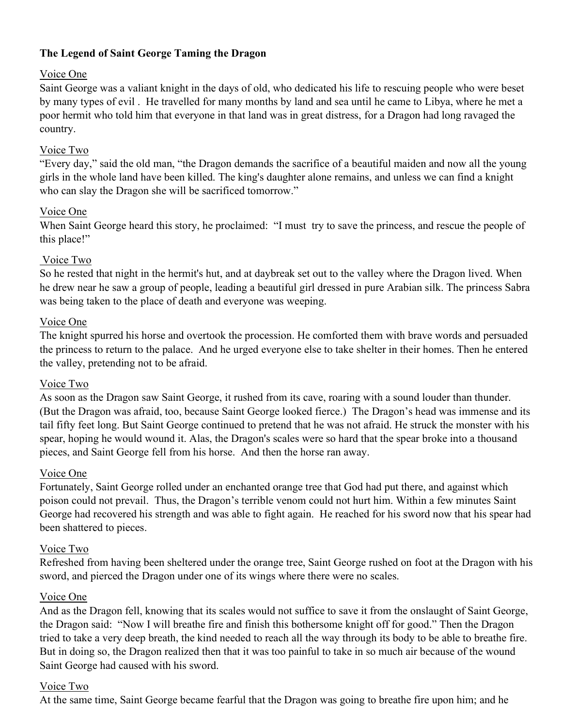# The Legend of Saint George Taming the Dragon

# Voice One

Saint George was a valiant knight in the days of old, who dedicated his life to rescuing people who were beset by many types of evil . He travelled for many months by land and sea until he came to Libya, where he met a poor hermit who told him that everyone in that land was in great distress, for a Dragon had long ravaged the country.

# Voice Two

"Every day," said the old man, "the Dragon demands the sacrifice of a beautiful maiden and now all the young girls in the whole land have been killed. The king's daughter alone remains, and unless we can find a knight who can slay the Dragon she will be sacrificed tomorrow."

# Voice One

When Saint George heard this story, he proclaimed: "I must try to save the princess, and rescue the people of this place!"

# Voice Two

So he rested that night in the hermit's hut, and at daybreak set out to the valley where the Dragon lived. When he drew near he saw a group of people, leading a beautiful girl dressed in pure Arabian silk. The princess Sabra was being taken to the place of death and everyone was weeping.

# Voice One

The knight spurred his horse and overtook the procession. He comforted them with brave words and persuaded the princess to return to the palace. And he urged everyone else to take shelter in their homes. Then he entered the valley, pretending not to be afraid.

# Voice Two

As soon as the Dragon saw Saint George, it rushed from its cave, roaring with a sound louder than thunder. (But the Dragon was afraid, too, because Saint George looked fierce.) The Dragon's head was immense and its tail fifty feet long. But Saint George continued to pretend that he was not afraid. He struck the monster with his spear, hoping he would wound it. Alas, the Dragon's scales were so hard that the spear broke into a thousand pieces, and Saint George fell from his horse. And then the horse ran away.

# Voice One

Fortunately, Saint George rolled under an enchanted orange tree that God had put there, and against which poison could not prevail. Thus, the Dragon's terrible venom could not hurt him. Within a few minutes Saint George had recovered his strength and was able to fight again. He reached for his sword now that his spear had been shattered to pieces.

# Voice Two

Refreshed from having been sheltered under the orange tree, Saint George rushed on foot at the Dragon with his sword, and pierced the Dragon under one of its wings where there were no scales.

# Voice One

And as the Dragon fell, knowing that its scales would not suffice to save it from the onslaught of Saint George, the Dragon said: "Now I will breathe fire and finish this bothersome knight off for good." Then the Dragon tried to take a very deep breath, the kind needed to reach all the way through its body to be able to breathe fire. But in doing so, the Dragon realized then that it was too painful to take in so much air because of the wound Saint George had caused with his sword.

# Voice Two

At the same time, Saint George became fearful that the Dragon was going to breathe fire upon him; and he